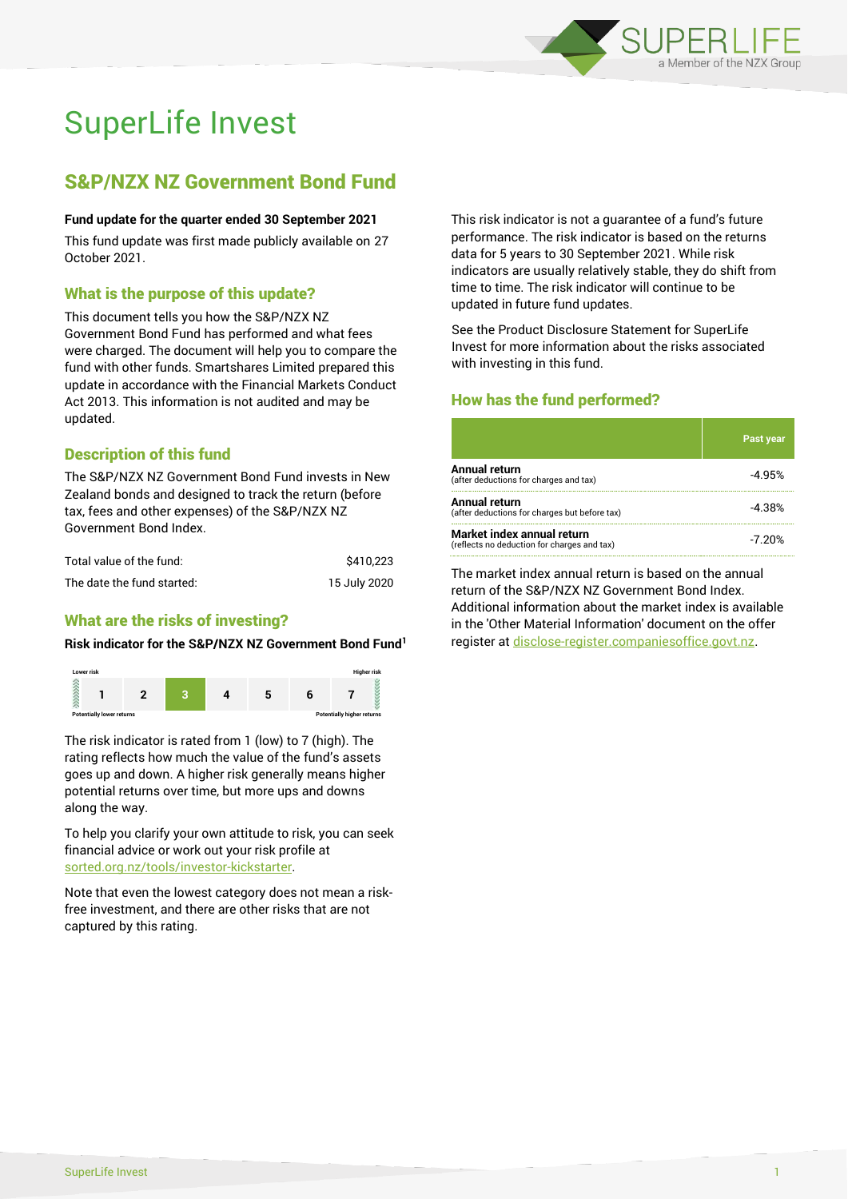

# SuperLife Invest

# S&P/NZX NZ Government Bond Fund

#### **Fund update for the quarter ended 30 September 2021**

This fund update was first made publicly available on 27 October 2021.

## What is the purpose of this update?

This document tells you how the S&P/NZX NZ Government Bond Fund has performed and what fees were charged. The document will help you to compare the fund with other funds. Smartshares Limited prepared this update in accordance with the Financial Markets Conduct Act 2013. This information is not audited and may be updated.

# Description of this fund

The S&P/NZX NZ Government Bond Fund invests in New Zealand bonds and designed to track the return (before tax, fees and other expenses) of the S&P/NZX NZ Government Bond Index.

| Total value of the fund:   | \$410.223    |
|----------------------------|--------------|
| The date the fund started: | 15 July 2020 |

# What are the risks of investing?

#### **Risk indicator for the S&P/NZX NZ Government Bond Fund<sup>1</sup>**



The risk indicator is rated from 1 (low) to 7 (high). The rating reflects how much the value of the fund's assets goes up and down. A higher risk generally means higher potential returns over time, but more ups and downs along the way.

To help you clarify your own attitude to risk, you can seek financial advice or work out your risk profile at [sorted.org.nz/tools/investor-kickstarter.](http://www.sorted.org.nz/tools/investor-kickstarter)

Note that even the lowest category does not mean a riskfree investment, and there are other risks that are not captured by this rating.

This risk indicator is not a guarantee of a fund's future performance. The risk indicator is based on the returns data for 5 years to 30 September 2021. While risk indicators are usually relatively stable, they do shift from time to time. The risk indicator will continue to be updated in future fund updates.

See the Product Disclosure Statement for SuperLife Invest for more information about the risks associated with investing in this fund.

# How has the fund performed?

|                                                                           | <b>Past year</b> |
|---------------------------------------------------------------------------|------------------|
| Annual return<br>(after deductions for charges and tax)                   | $-4.95%$         |
| Annual return<br>(after deductions for charges but before tax)            | -4.38%           |
| Market index annual return<br>(reflects no deduction for charges and tax) | $-7.20%$         |

The market index annual return is based on the annual return of the S&P/NZX NZ Government Bond Index. Additional information about the market index is available in the 'Other Material Information' document on the offer register a[t disclose-register.companiesoffice.govt.nz.](http://www.disclose-register.companiesoffice.govt.nz/)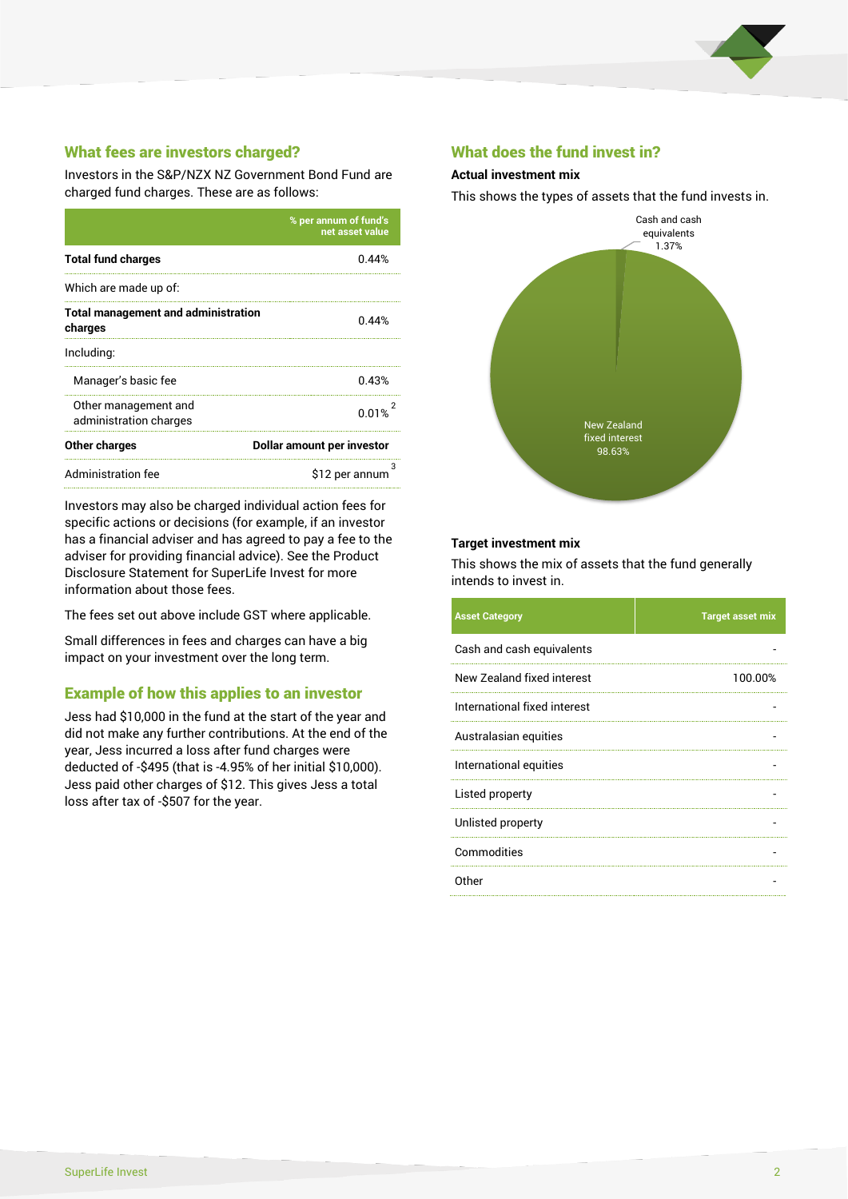

# What fees are investors charged?

Investors in the S&P/NZX NZ Government Bond Fund are charged fund charges. These are as follows:

|                                                       | % per annum of fund's<br>net asset value |  |
|-------------------------------------------------------|------------------------------------------|--|
| <b>Total fund charges</b>                             | 0.44%                                    |  |
| Which are made up of:                                 |                                          |  |
| <b>Total management and administration</b><br>charges | 0.44%                                    |  |
| Including:                                            |                                          |  |
| Manager's basic fee                                   | 0.43%                                    |  |
| Other management and<br>administration charges        | 0.01%                                    |  |
| Other charges                                         | Dollar amount per investor               |  |
| Administration fee                                    | \$12 per annum                           |  |

Investors may also be charged individual action fees for specific actions or decisions (for example, if an investor has a financial adviser and has agreed to pay a fee to the adviser for providing financial advice). See the Product Disclosure Statement for SuperLife Invest for more information about those fees.

The fees set out above include GST where applicable.

Small differences in fees and charges can have a big impact on your investment over the long term.

# Example of how this applies to an investor

Jess had \$10,000 in the fund at the start of the year and did not make any further contributions. At the end of the year, Jess incurred a loss after fund charges were deducted of -\$495 (that is -4.95% of her initial \$10,000). Jess paid other charges of \$12. This gives Jess a total loss after tax of -\$507 for the year.

### What does the fund invest in?

#### **Actual investment mix**

This shows the types of assets that the fund invests in.



#### **Target investment mix**

This shows the mix of assets that the fund generally intends to invest in.

| <b>Asset Category</b>        | <b>Target asset mix</b> |
|------------------------------|-------------------------|
| Cash and cash equivalents    |                         |
| New Zealand fixed interest   | 100.00%                 |
| International fixed interest |                         |
| Australasian equities        |                         |
| International equities       |                         |
| Listed property              |                         |
| Unlisted property            |                         |
| Commodities                  |                         |
| Other                        |                         |